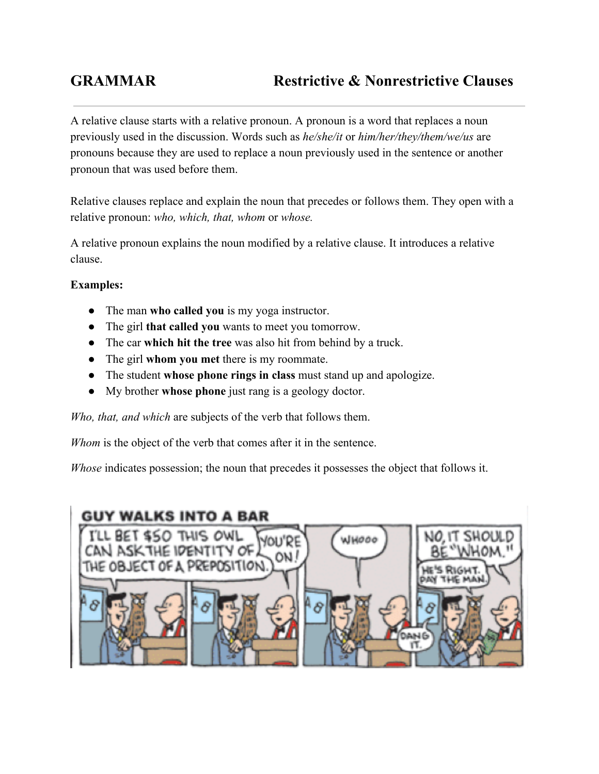A relative clause starts with a relative pronoun. A pronoun is a word that replaces a noun previously used in the discussion. Words such as *he/she/it* or *him/her/they/them/we/us* are pronouns because they are used to replace a noun previously used in the sentence or another pronoun that was used before them.

Relative clauses replace and explain the noun that precedes or follows them. They open with a relative pronoun: *who, which, that, whom* or *whose.*

A relative pronoun explains the noun modified by a relative clause. It introduces a relative clause.

## **Examples:**

- The man **who called you**is my yoga instructor.
- The girl **that called you**wants to meet you tomorrow.
- The car **which hit the tree**was also hit from behind by a truck.
- The girl **whom you met** there is my roommate.
- The student **whose phone rings in class**must stand up and apologize.
- My brother **whose phone**just rang is a geology doctor.

*Who, that, and which* are subjects of the verb that follows them.

*Whom* is the object of the verb that comes after it in the sentence.

*Whose* indicates possession; the noun that precedes it possesses the object that follows it.